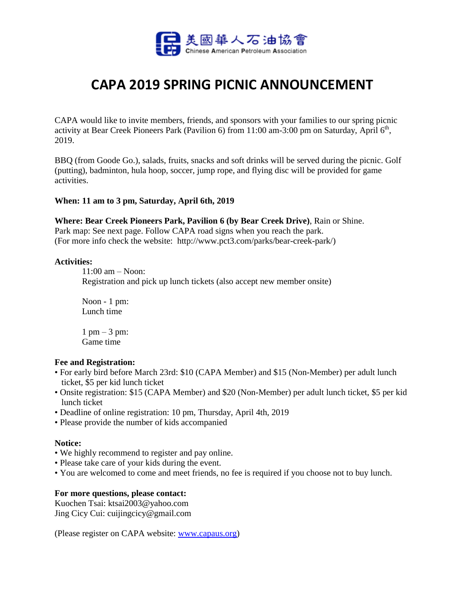

# **CAPA 2019 SPRING PICNIC ANNOUNCEMENT**

CAPA would like to invite members, friends, and sponsors with your families to our spring picnic activity at Bear Creek Pioneers Park (Pavilion 6) from 11:00 am-3:00 pm on Saturday, April 6<sup>th</sup>, 2019.

BBQ (from Goode Go.), salads, fruits, snacks and soft drinks will be served during the picnic. Golf (putting), badminton, hula hoop, soccer, jump rope, and flying disc will be provided for game activities.

# **When: 11 am to 3 pm, Saturday, April 6th, 2019**

### **Where: Bear Creek Pioneers Park, Pavilion 6 (by Bear Creek Drive)**, Rain or Shine.

Park map: See next page. Follow CAPA road signs when you reach the park. (For more info check the website: http://www.pct3.com/parks/bear-creek-park/)

#### **Activities:**

11:00 am – Noon:

Registration and pick up lunch tickets (also accept new member onsite)

Noon - 1 pm: Lunch time

 $1 \text{ pm} - 3 \text{ pm}$ : Game time

#### **Fee and Registration:**

- For early bird before March 23rd: \$10 (CAPA Member) and \$15 (Non-Member) per adult lunch ticket, \$5 per kid lunch ticket
- Onsite registration: \$15 (CAPA Member) and \$20 (Non-Member) per adult lunch ticket, \$5 per kid lunch ticket
- Deadline of online registration: 10 pm, Thursday, April 4th, 2019
- Please provide the number of kids accompanied

## **Notice:**

- We highly recommend to register and pay online.
- Please take care of your kids during the event.
- You are welcomed to come and meet friends, no fee is required if you choose not to buy lunch.

## **For more questions, please contact:**

Kuochen Tsai: [ktsai2003@yahoo.com](mailto:ktsai2003@yahoo.com) Jing Cicy Cui: cuijingcicy@gmail.com

(Please register on CAPA website: [www.capaus.org\)](http://www.capaus.org/)